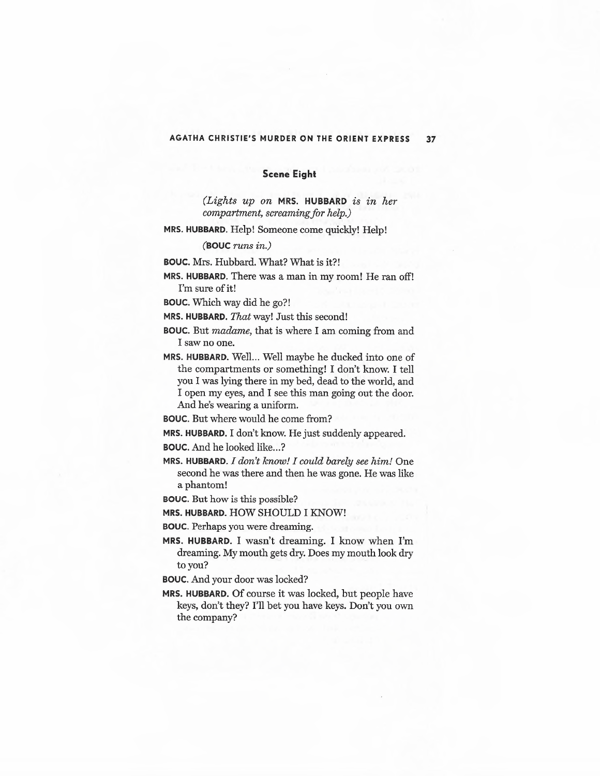## **AGATHA CHRISTIE'S MURDER ON THE ORIENT EXPRESS 37**

## **Scene Eight**

*(Lights up on* **MRS. HUBBARD** *is in her compartment, screaming/or help.)* 

**MRS. HUBBARD.** Help! Someone come quickly! Help!

## **(BOUC** *runs in.)*

**BOUC.** Mrs. Hubbard. What? What is it?!

**MRS. HUBBARD.** There was a man in my room! He ran off! I'm sure of it!

**BOUC.** Which way did he go?!

**MRS. HUBBARD.** *That* way! Just this second!

- **BOUC.** But madame, that is where I am coming from and I saw no one.
- MRS. HUBBARD. Well... Well maybe he ducked into one of the compartments or something! I don't know. I tell you I was lying there in my bed, dead to the world, and I open my eyes, and I see this man going out the door. And he's wearing a uniform.

**BOUC.** But where would he come from?

**MRS. HUBBARD.** I don't know. He just suddenly appeared.

**BOUC.** And he looked like...?

**MRS. HUBBARD.** *I don't know! I could barely see him!* One second he was there and then he was gone. He was like a phantom!

**BOUC.** But how is this possible?

**MRS. HUBBARD.** HOW SHOULD I KNOW!

**BOUC.** Perhaps you were dreaming.

**MRS. HUBBARD.** I wasn't dreaming. I know when I'm dreaming. My mouth gets dry. Does my mouth look dry to you?

**BOUC.** And your door was locked?

**MRS. HUBBARD.** Of course it was locked, but people have keys, don't they? I'll bet you have keys. Don't you own the company?